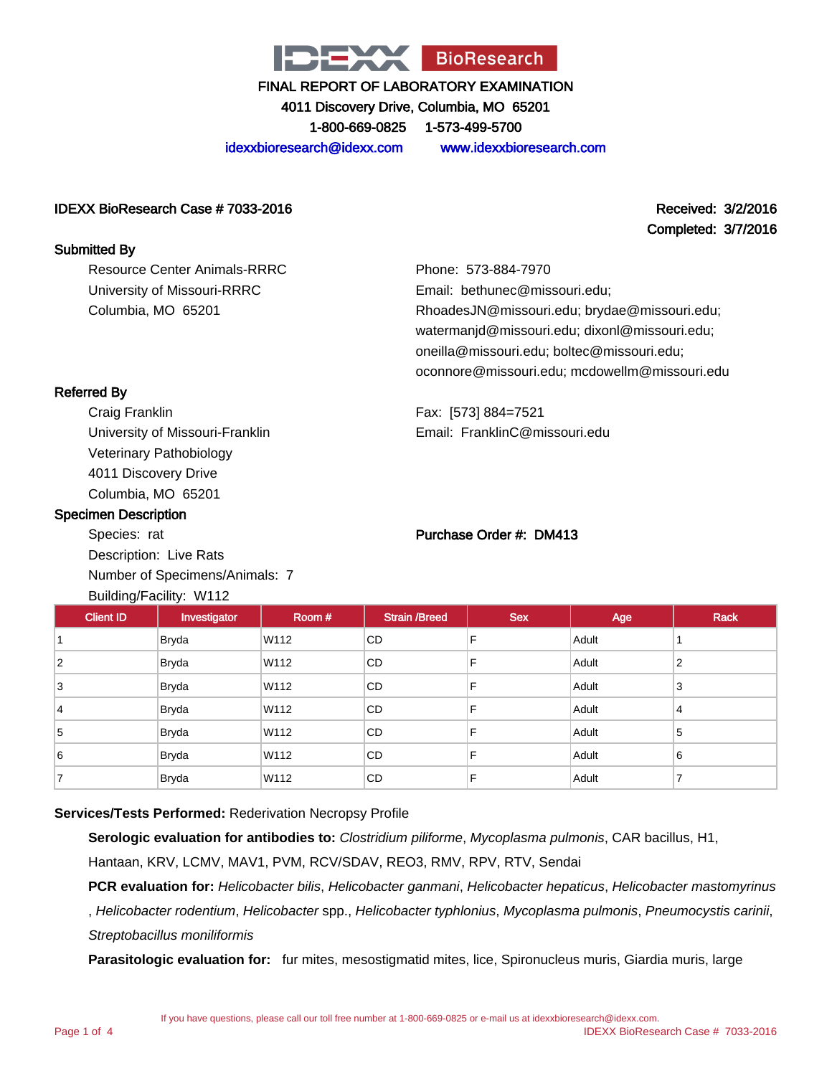

4011 Discovery Drive, Columbia, MO 65201

1-800-669-0825 1-573-499-5700

idexxbioresearch@idexx.com www.idexxbioresearch.com

#### IDEXX BioResearch Case # 7033-2016 Received: 3/2/2016

Completed: 3/7/2016

#### Submitted By

Resource Center Animals-RRRC University of Missouri-RRRC Columbia, MO 65201

Phone: 573-884-7970 Email: bethunec@missouri.edu; RhoadesJN@missouri.edu; brydae@missouri.edu; watermanjd@missouri.edu; dixonl@missouri.edu; oneilla@missouri.edu; boltec@missouri.edu; oconnore@missouri.edu; mcdowellm@missouri.edu

Fax: [573] 884=7521 Email: FranklinC@missouri.edu

### Referred By

Craig Franklin University of Missouri-Franklin Veterinary Pathobiology 4011 Discovery Drive Columbia, MO 65201

#### Specimen Description

Species: rat Description: Live Rats Number of Specimens/Animals: 7  $\blacksquare$  Building  $\blacksquare$  The Community of the Community of the Community of the Community of the Community of the Community of the Community of the Community of the Community of the Community of the Community of the Communi

#### Purchase Order #: DM413

| <b>Client ID</b>         | Investigator | Room# | <b>Strain /Breed</b> | <b>Sex</b> | Age   | <b>Rack</b> |
|--------------------------|--------------|-------|----------------------|------------|-------|-------------|
|                          | <b>Bryda</b> | W112  | CD                   | F          | Adult |             |
| $\overline{2}$           | <b>Bryda</b> | W112  | CD                   | F          | Adult | 2           |
| 3                        | <b>Bryda</b> | W112  | CD                   | F          | Adult | 3           |
| 4                        | <b>Bryda</b> | W112  | CD                   | F          | Adult | 4           |
| 5                        | <b>Bryda</b> | W112  | CD                   | F          | Adult | 5           |
| 6                        | Bryda        | W112  | CD                   | F          | Adult | 6           |
| $\overline{\phantom{a}}$ | <b>Bryda</b> | W112  | CD                   | F          | Adult | ⇁           |

#### **Services/Tests Performed:** Rederivation Necropsy Profile

**Serologic evaluation for antibodies to:** Clostridium piliforme, Mycoplasma pulmonis, CAR bacillus, H1,

Hantaan, KRV, LCMV, MAV1, PVM, RCV/SDAV, REO3, RMV, RPV, RTV, Sendai

PCR evaluation for: Helicobacter bilis, Helicobacter ganmani, Helicobacter hepaticus, Helicobacter mastomyrinus

, Helicobacter rodentium, Helicobacter spp., Helicobacter typhlonius, Mycoplasma pulmonis, Pneumocystis carinii, Streptobacillus moniliformis

**Parasitologic evaluation for:** fur mites, mesostigmatid mites, lice, Spironucleus muris, Giardia muris, large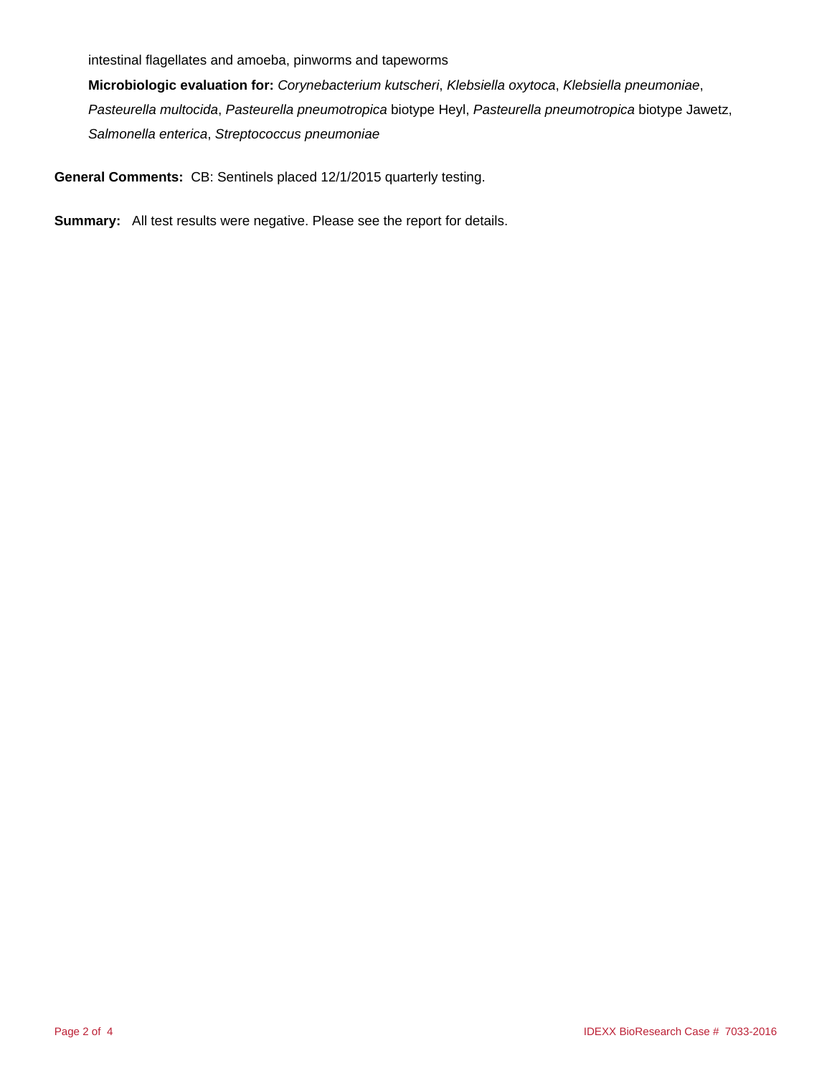intestinal flagellates and amoeba, pinworms and tapeworms

**Microbiologic evaluation for:** Corynebacterium kutscheri, Klebsiella oxytoca, Klebsiella pneumoniae, Pasteurella multocida, Pasteurella pneumotropica biotype Heyl, Pasteurella pneumotropica biotype Jawetz, Salmonella enterica, Streptococcus pneumoniae

**General Comments:** CB: Sentinels placed 12/1/2015 quarterly testing.

**Summary:** All test results were negative. Please see the report for details.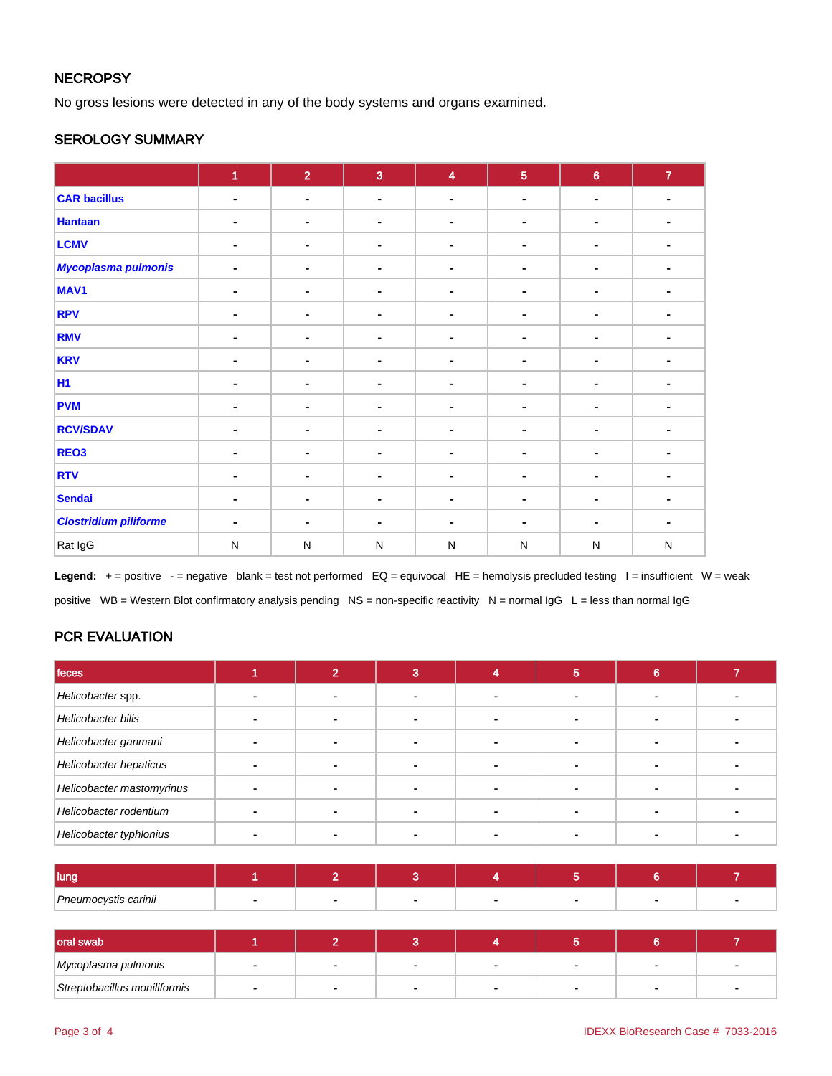### **NECROPSY**

No gross lesions were detected in any of the body systems and organs examined.

### SEROLOGY SUMMARY

|                              | $\overline{1}$ | $\overline{2}$               | $\overline{3}$ | $\overline{\mathbf{4}}$ | $\overline{5}$ | $\bf 6$                  | $\mathbf{7}$   |
|------------------------------|----------------|------------------------------|----------------|-------------------------|----------------|--------------------------|----------------|
| <b>CAR bacillus</b>          | $\blacksquare$ | $\blacksquare$               | $\blacksquare$ | $\blacksquare$          | ۰              | $\blacksquare$           | $\blacksquare$ |
| <b>Hantaan</b>               | ۰              | ۰                            | $\blacksquare$ | ٠                       | ۰              | ٠                        |                |
| <b>LCMV</b>                  | ٠              | $\blacksquare$               | $\blacksquare$ |                         | $\blacksquare$ | ٠                        |                |
| Mycoplasma pulmonis          | $\blacksquare$ | $\blacksquare$               | $\blacksquare$ |                         | $\blacksquare$ | ۰                        |                |
| MAV <sub>1</sub>             | ۰              | $\blacksquare$               | $\blacksquare$ |                         | ۰              | ۰                        |                |
| <b>RPV</b>                   | $\blacksquare$ | -                            | $\blacksquare$ | $\blacksquare$          |                | $\overline{\phantom{a}}$ | ٠              |
| <b>RMV</b>                   | ۰              | $\blacksquare$               | $\blacksquare$ |                         | ٠              |                          |                |
| <b>KRV</b>                   | $\blacksquare$ | $\blacksquare$               | $\blacksquare$ |                         | ۰              | ۰                        |                |
| <b>H1</b>                    |                | $\qquad \qquad \blacksquare$ | $\blacksquare$ |                         | $\blacksquare$ | $\blacksquare$           |                |
| <b>PVM</b>                   | $\blacksquare$ | $\blacksquare$               | $\blacksquare$ |                         | ۰              |                          |                |
| <b>RCV/SDAV</b>              | ٠              | ۰                            | $\blacksquare$ | $\blacksquare$          | ۰              | ۰                        | ٠              |
| REO <sub>3</sub>             | ٠              | $\blacksquare$               | $\sim$         | ٠                       | $\blacksquare$ | ۰                        |                |
| <b>RTV</b>                   | $\blacksquare$ | $\blacksquare$               | $\blacksquare$ |                         | ۰.             | ٠                        |                |
| <b>Sendai</b>                | $\blacksquare$ | $\blacksquare$               | ٠              |                         | ۰.             | $\blacksquare$           |                |
| <b>Clostridium piliforme</b> | ٠              | $\blacksquare$               | $\blacksquare$ |                         | $\blacksquare$ |                          |                |
| Rat IgG                      | $\mathsf{N}$   | ${\sf N}$                    | $\mathsf{N}$   | $\mathsf{N}$            | ${\sf N}$      | ${\sf N}$                | $\mathsf{N}$   |

Legend: + = positive - = negative blank = test not performed EQ = equivocal HE = hemolysis precluded testing I = insufficient W = weak positive WB = Western Blot confirmatory analysis pending NS = non-specific reactivity N = normal IgG L = less than normal IgG

### PCR EVALUATION

| feces                     |  |  | Ð | ⌒ |  |
|---------------------------|--|--|---|---|--|
| Helicobacter spp.         |  |  |   |   |  |
| Helicobacter bilis        |  |  |   |   |  |
| Helicobacter ganmani      |  |  |   |   |  |
| Helicobacter hepaticus    |  |  |   |   |  |
| Helicobacter mastomyrinus |  |  |   |   |  |
| Helicobacter rodentium    |  |  |   |   |  |
| Helicobacter typhlonius   |  |  |   |   |  |

| I luna               |  |  |  |  |
|----------------------|--|--|--|--|
| Pneumocystis carinii |  |  |  |  |

| oral swab                    |  |                |  |                          |
|------------------------------|--|----------------|--|--------------------------|
| Mycoplasma pulmonis          |  | $\blacksquare$ |  | $\overline{\phantom{a}}$ |
| Streptobacillus moniliformis |  |                |  |                          |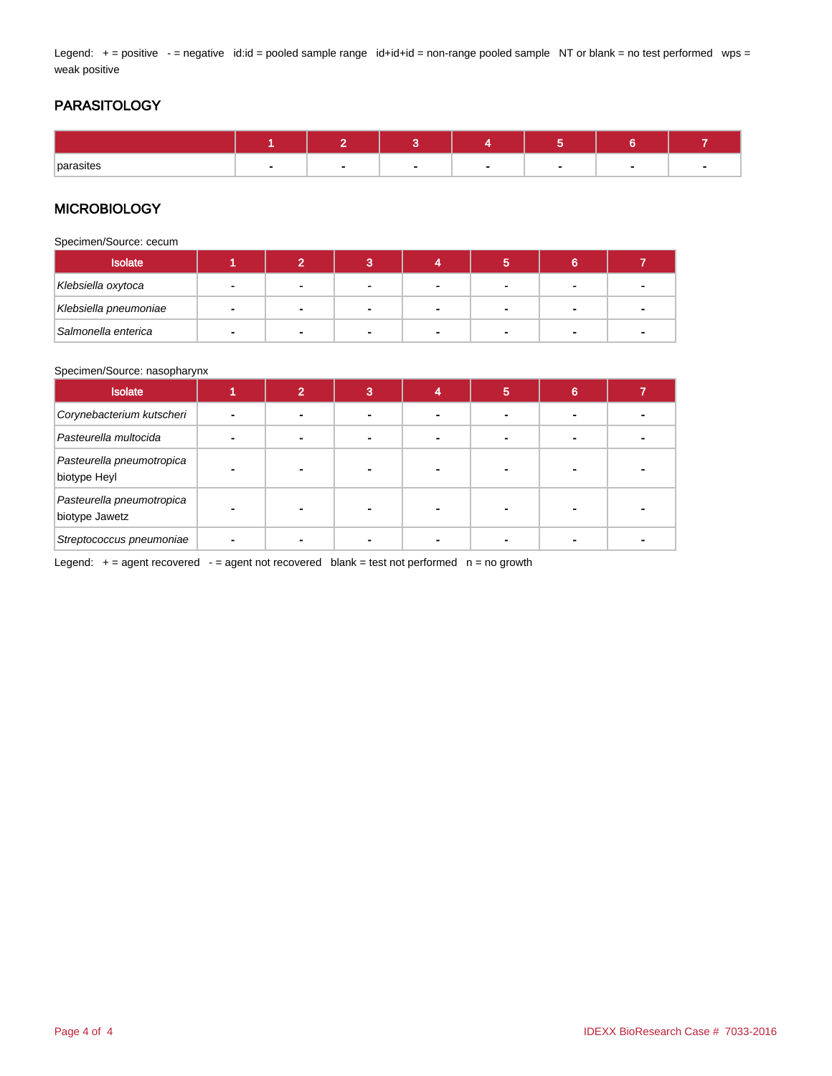Legend: + = positive - = negative id:id = pooled sample range id+id+id = non-range pooled sample NT or blank = no test performed wps = weak positive

### PARASITOLOGY

| parasites |  |  |  |  |
|-----------|--|--|--|--|

### **MICROBIOLOGY**

Specimen/Source: cecum

| <b>Isolate</b>        |        |                |   |  |                          |   |
|-----------------------|--------|----------------|---|--|--------------------------|---|
| Klebsiella oxytoca    |        |                |   |  |                          |   |
| Klebsiella pneumoniae | $\sim$ | $\blacksquare$ | - |  | $\overline{\phantom{a}}$ | - |
| Salmonella enterica   | -      | $\blacksquare$ |   |  | -                        |   |

#### Specimen/Source: nasopharynx

| <b>Isolate</b>                              | 0 | 3 | 5 | 6 |  |
|---------------------------------------------|---|---|---|---|--|
| Corynebacterium kutscheri                   |   |   |   |   |  |
| Pasteurella multocida                       |   |   |   |   |  |
| Pasteurella pneumotropica<br>biotype Heyl   |   |   |   |   |  |
| Pasteurella pneumotropica<br>biotype Jawetz |   |   |   |   |  |
| Streptococcus pneumoniae                    |   |   |   |   |  |

Legend:  $+=$  agent recovered  $-$  = agent not recovered blank = test not performed  $n =$  no growth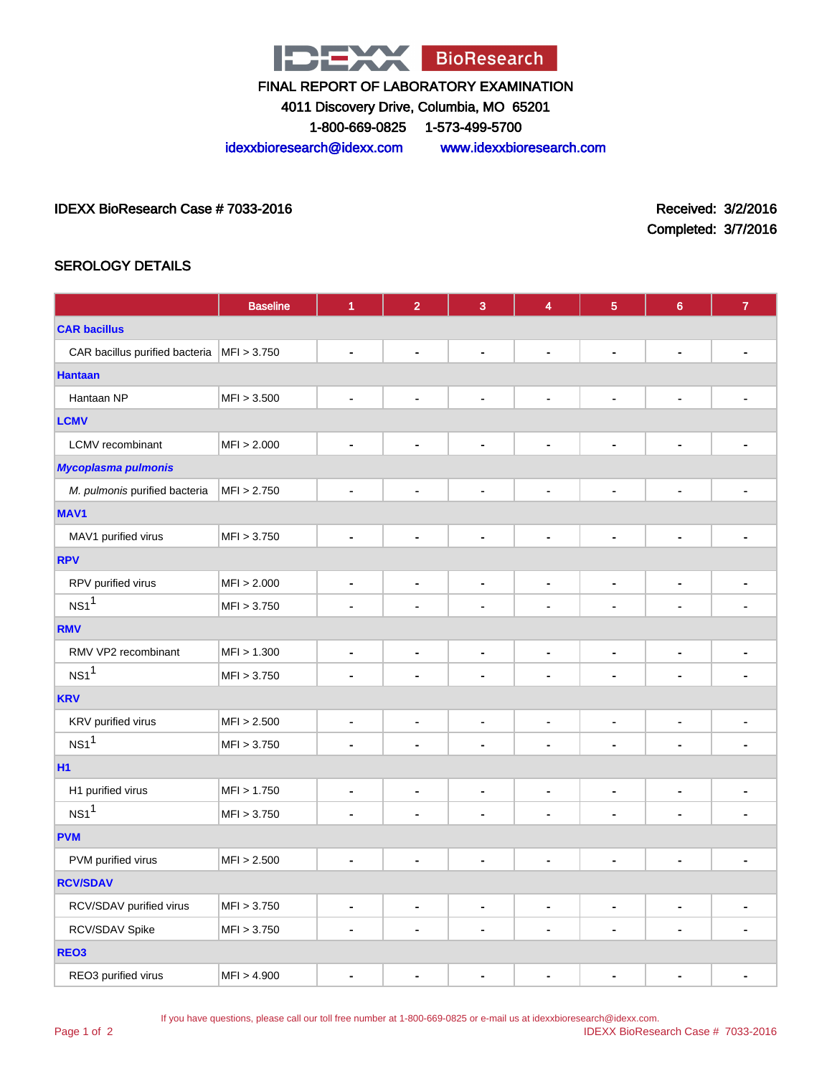

4011 Discovery Drive, Columbia, MO 65201

1-800-669-0825 1-573-499-5700

idexxbioresearch@idexx.com www.idexxbioresearch.com

IDEXX BioResearch Case # 7033-2016 Received: 3/2/2016

Completed: 3/7/2016

### SEROLOGY DETAILS

|                                              | <b>Baseline</b> | $\overline{1}$               | $\overline{2}$               | $\overline{3}$               | 4                            | $\overline{5}$               | $\boldsymbol{6}$             | $\overline{7}$           |  |  |
|----------------------------------------------|-----------------|------------------------------|------------------------------|------------------------------|------------------------------|------------------------------|------------------------------|--------------------------|--|--|
| <b>CAR bacillus</b>                          |                 |                              |                              |                              |                              |                              |                              |                          |  |  |
| CAR bacillus purified bacteria   MFI > 3.750 |                 | $\blacksquare$               | $\blacksquare$               | $\blacksquare$               | $\blacksquare$               | $\blacksquare$               | $\blacksquare$               | ٠                        |  |  |
| <b>Hantaan</b>                               |                 |                              |                              |                              |                              |                              |                              |                          |  |  |
| Hantaan NP                                   | MFI > 3.500     | $\blacksquare$               | $\blacksquare$               | $\blacksquare$               | $\blacksquare$               | $\blacksquare$               | $\blacksquare$               |                          |  |  |
| <b>LCMV</b>                                  |                 |                              |                              |                              |                              |                              |                              |                          |  |  |
| <b>LCMV</b> recombinant                      | MFI > 2.000     | $\blacksquare$               | $\qquad \qquad \blacksquare$ | $\qquad \qquad \blacksquare$ | $\qquad \qquad \blacksquare$ | $\qquad \qquad \blacksquare$ | $\qquad \qquad \blacksquare$ | $\overline{a}$           |  |  |
| <b>Mycoplasma pulmonis</b>                   |                 |                              |                              |                              |                              |                              |                              |                          |  |  |
| M. pulmonis purified bacteria                | MFI > 2.750     | $\qquad \qquad \blacksquare$ | $\qquad \qquad \blacksquare$ | $\blacksquare$               | $\blacksquare$               | $\blacksquare$               | $\blacksquare$               | ٠                        |  |  |
| MAV1                                         |                 |                              |                              |                              |                              |                              |                              |                          |  |  |
| MAV1 purified virus                          | MFI > 3.750     | $\blacksquare$               | $\blacksquare$               | $\blacksquare$               | $\blacksquare$               | $\blacksquare$               | $\blacksquare$               | $\blacksquare$           |  |  |
| <b>RPV</b>                                   |                 |                              |                              |                              |                              |                              |                              |                          |  |  |
| RPV purified virus                           | MFI > 2.000     | $\blacksquare$               | $\qquad \qquad \blacksquare$ | $\qquad \qquad \blacksquare$ | $\overline{\phantom{a}}$     | $\overline{\phantom{a}}$     | $\blacksquare$               | $\blacksquare$           |  |  |
| $NS1$ <sup>1</sup>                           | MFI > 3.750     | $\blacksquare$               | $\blacksquare$               | $\blacksquare$               | $\blacksquare$               |                              | $\blacksquare$               |                          |  |  |
| <b>RMV</b>                                   |                 |                              |                              |                              |                              |                              |                              |                          |  |  |
| RMV VP2 recombinant                          | MFI > 1.300     | $\blacksquare$               | $\qquad \qquad \blacksquare$ | $\qquad \qquad \blacksquare$ | $\qquad \qquad \blacksquare$ | $\blacksquare$               | $\blacksquare$               | $\overline{\phantom{a}}$ |  |  |
| NS1 <sup>1</sup>                             | MFI > 3.750     | $\blacksquare$               | $\blacksquare$               | $\blacksquare$               | $\blacksquare$               | $\blacksquare$               | $\blacksquare$               | ÷                        |  |  |
| <b>KRV</b>                                   |                 |                              |                              |                              |                              |                              |                              |                          |  |  |
| KRV purified virus                           | MFI > 2.500     | $\blacksquare$               | $\qquad \qquad \blacksquare$ | $\qquad \qquad \blacksquare$ | $\blacksquare$               | $\overline{\phantom{a}}$     | $\qquad \qquad \blacksquare$ | $\blacksquare$           |  |  |
| NS1 <sup>1</sup>                             | MFI > 3.750     | $\blacksquare$               | $\blacksquare$               | $\blacksquare$               | ٠                            |                              | $\blacksquare$               |                          |  |  |
| H1                                           |                 |                              |                              |                              |                              |                              |                              |                          |  |  |
| H1 purified virus                            | MFI > 1.750     | $\qquad \qquad \blacksquare$ | $\qquad \qquad \blacksquare$ | $\qquad \qquad \blacksquare$ | $\qquad \qquad \blacksquare$ | ٠                            | $\overline{\phantom{a}}$     | ۰                        |  |  |
| NS1 <sup>1</sup>                             | MFI > 3.750     | $\blacksquare$               | $\blacksquare$               | $\blacksquare$               | $\blacksquare$               | $\blacksquare$               | $\blacksquare$               | ۰                        |  |  |
| <b>PVM</b>                                   |                 |                              |                              |                              |                              |                              |                              |                          |  |  |
| PVM purified virus                           | MFI > 2.500     | $\blacksquare$               | $\qquad \qquad \blacksquare$ | $\qquad \qquad \blacksquare$ | $\qquad \qquad \blacksquare$ | $\qquad \qquad \blacksquare$ | $\overline{\phantom{a}}$     | $\overline{\phantom{0}}$ |  |  |
| <b>RCV/SDAV</b>                              |                 |                              |                              |                              |                              |                              |                              |                          |  |  |
| RCV/SDAV purified virus                      | MFI > 3.750     | $\blacksquare$               | $\qquad \qquad \blacksquare$ | $\qquad \qquad \blacksquare$ | $\blacksquare$               | $\blacksquare$               | $\blacksquare$               | $\blacksquare$           |  |  |
| RCV/SDAV Spike                               | MFI > 3.750     | $\blacksquare$               | $\qquad \qquad \blacksquare$ | $\qquad \qquad \blacksquare$ | $\qquad \qquad \blacksquare$ | $\blacksquare$               | $\qquad \qquad \blacksquare$ | ۰                        |  |  |
| REO <sub>3</sub>                             |                 |                              |                              |                              |                              |                              |                              |                          |  |  |
| REO3 purified virus                          | MFI > 4.900     | $\blacksquare$               | ٠                            | ٠                            | $\blacksquare$               |                              | $\blacksquare$               | -                        |  |  |

If you have questions, please call our toll free number at 1-800-669-0825 or e-mail us at idexxbioresearch@idexx.com.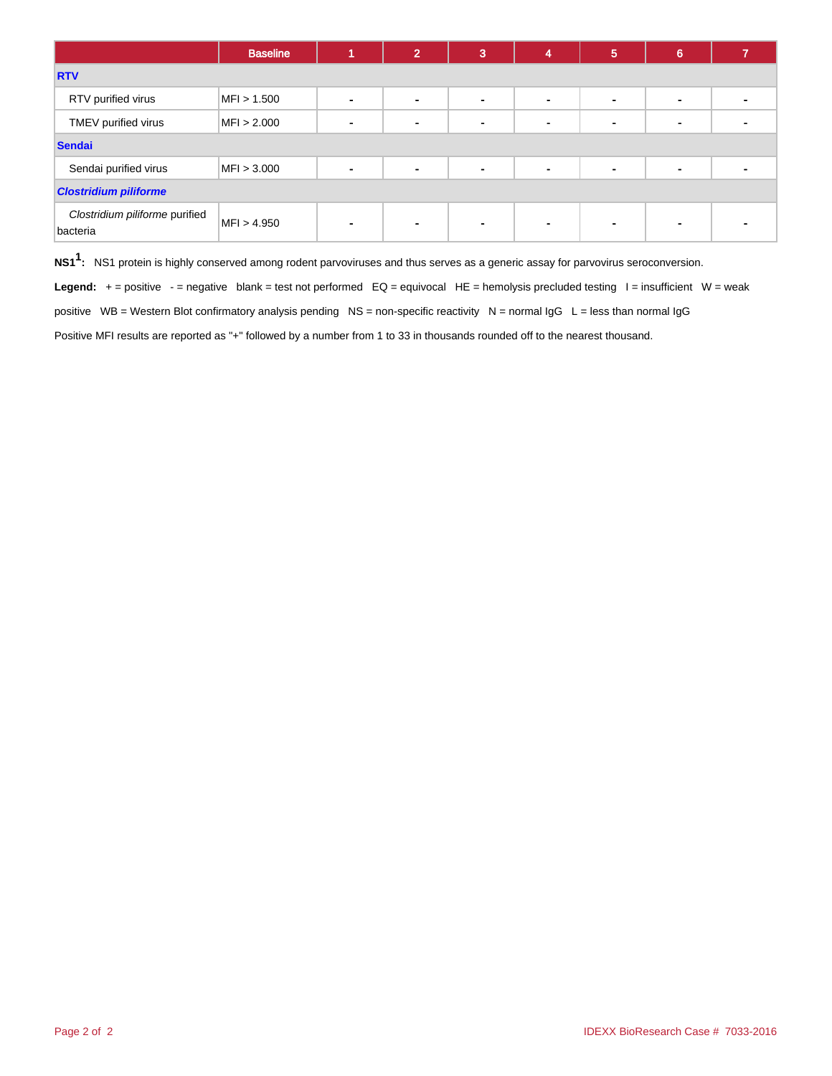|                                            | <b>Baseline</b> |                          | $\mathbf{2}^{\prime}$ | 3              | 4              | 5 | 6              |  |  |  |
|--------------------------------------------|-----------------|--------------------------|-----------------------|----------------|----------------|---|----------------|--|--|--|
| <b>RTV</b>                                 |                 |                          |                       |                |                |   |                |  |  |  |
| RTV purified virus                         | MFI > 1.500     | $\blacksquare$           | ۰                     | $\blacksquare$ | $\blacksquare$ |   | $\blacksquare$ |  |  |  |
| TMEV purified virus                        | MFI > 2.000     | $\blacksquare$           | $\blacksquare$        | $\blacksquare$ | $\blacksquare$ |   | -              |  |  |  |
| <b>Sendai</b>                              |                 |                          |                       |                |                |   |                |  |  |  |
| Sendai purified virus                      | MFI > 3.000     | $\blacksquare$           | $\blacksquare$        | $\blacksquare$ | $\blacksquare$ |   | $\blacksquare$ |  |  |  |
| <b>Clostridium piliforme</b>               |                 |                          |                       |                |                |   |                |  |  |  |
| Clostridium piliforme purified<br>bacteria | MFI > 4.950     | $\overline{\phantom{0}}$ | $\blacksquare$        | $\blacksquare$ | $\blacksquare$ |   | -              |  |  |  |

**NS11 :** NS1 protein is highly conserved among rodent parvoviruses and thus serves as a generic assay for parvovirus seroconversion.

Legend: + = positive - = negative blank = test not performed EQ = equivocal HE = hemolysis precluded testing I = insufficient W = weak

positive WB = Western Blot confirmatory analysis pending NS = non-specific reactivity N = normal IgG L = less than normal IgG

Positive MFI results are reported as "+" followed by a number from 1 to 33 in thousands rounded off to the nearest thousand.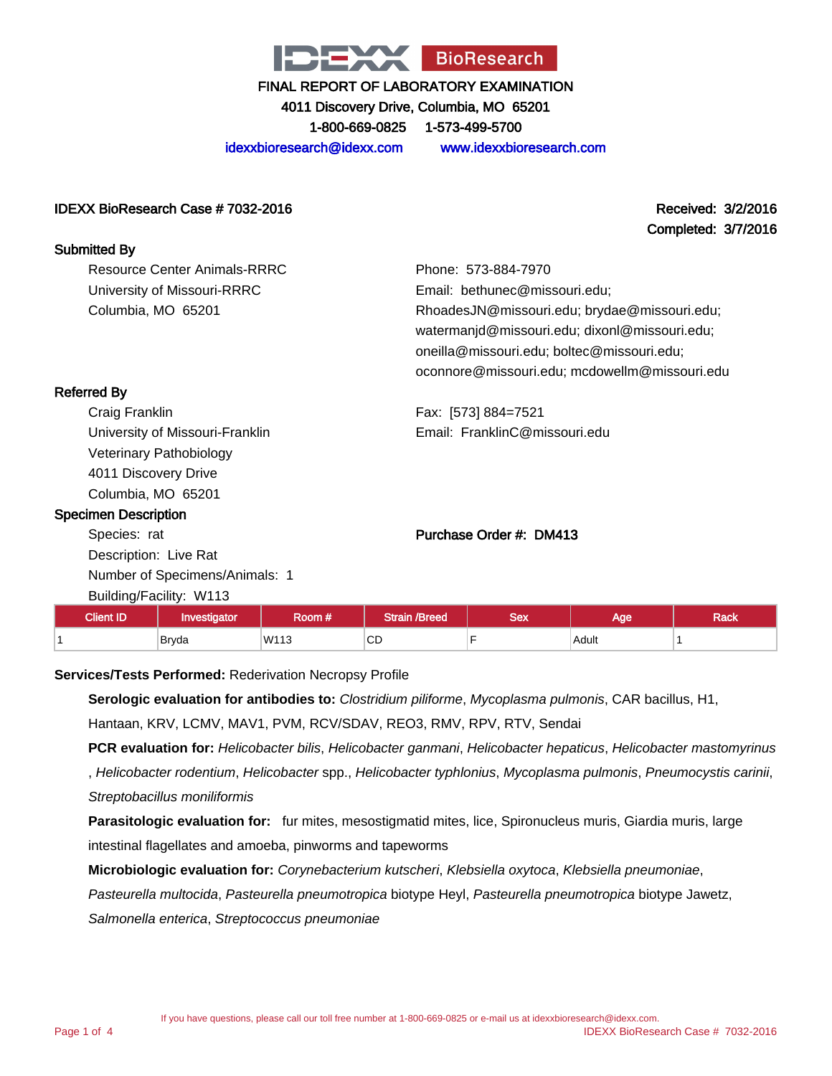

4011 Discovery Drive, Columbia, MO 65201

1-800-669-0825 1-573-499-5700

idexxbioresearch@idexx.com www.idexxbioresearch.com

#### IDEXX BioResearch Case # 7032-2016 Received: 3/2/2016

Completed: 3/7/2016

| <b>Submitted By</b>          |                                               |
|------------------------------|-----------------------------------------------|
| Resource Center Animals-RRRC | Phone: 573-884-7970                           |
| University of Missouri-RRRC  | Email: bethunec@missouri.edu;                 |
| Columbia, MO 65201           | RhoadesJN@missouri.edu; brydae@missouri.edu;  |
|                              | watermanjd@missouri.edu; dixonl@missouri.edu; |
|                              | oneilla@missouri.edu; boltec@missouri.edu;    |
|                              | oconnore@missouri.edu; mcdowellm@missouri.edu |
| <b>Referred By</b>           |                                               |
| Craig Franklin               | Fax: [573] 884=7521                           |

Craig Franklin University of Missouri-Franklin Veterinary Pathobiology 4011 Discovery Drive Columbia, MO 65201

#### Specimen Description

Species: rat Description: Live Rat Number of Specimens/Animals: 1 Building/Facility: W113

# Purchase Order #: DM413

Email: FranklinC@missouri.edu

| <b>Client ID</b> | Investigator | koom # | /Breed<br><b>STATISTICS</b> | Sex | Aae        | Rack |
|------------------|--------------|--------|-----------------------------|-----|------------|------|
|                  | <b>Bryda</b> | W113   | $\sim$ $\sim$<br>⊾ت         |     | Adult<br>. |      |

**Services/Tests Performed:** Rederivation Necropsy Profile

**Serologic evaluation for antibodies to:** Clostridium piliforme, Mycoplasma pulmonis, CAR bacillus, H1, Hantaan, KRV, LCMV, MAV1, PVM, RCV/SDAV, REO3, RMV, RPV, RTV, Sendai

**PCR evaluation for:** Helicobacter bilis, Helicobacter ganmani, Helicobacter hepaticus, Helicobacter mastomyrinus

, Helicobacter rodentium, Helicobacter spp., Helicobacter typhlonius, Mycoplasma pulmonis, Pneumocystis carinii, Streptobacillus moniliformis

**Parasitologic evaluation for:** fur mites, mesostigmatid mites, lice, Spironucleus muris, Giardia muris, large intestinal flagellates and amoeba, pinworms and tapeworms

**Microbiologic evaluation for:** Corynebacterium kutscheri, Klebsiella oxytoca, Klebsiella pneumoniae,

Pasteurella multocida, Pasteurella pneumotropica biotype Heyl, Pasteurella pneumotropica biotype Jawetz,

Salmonella enterica, Streptococcus pneumoniae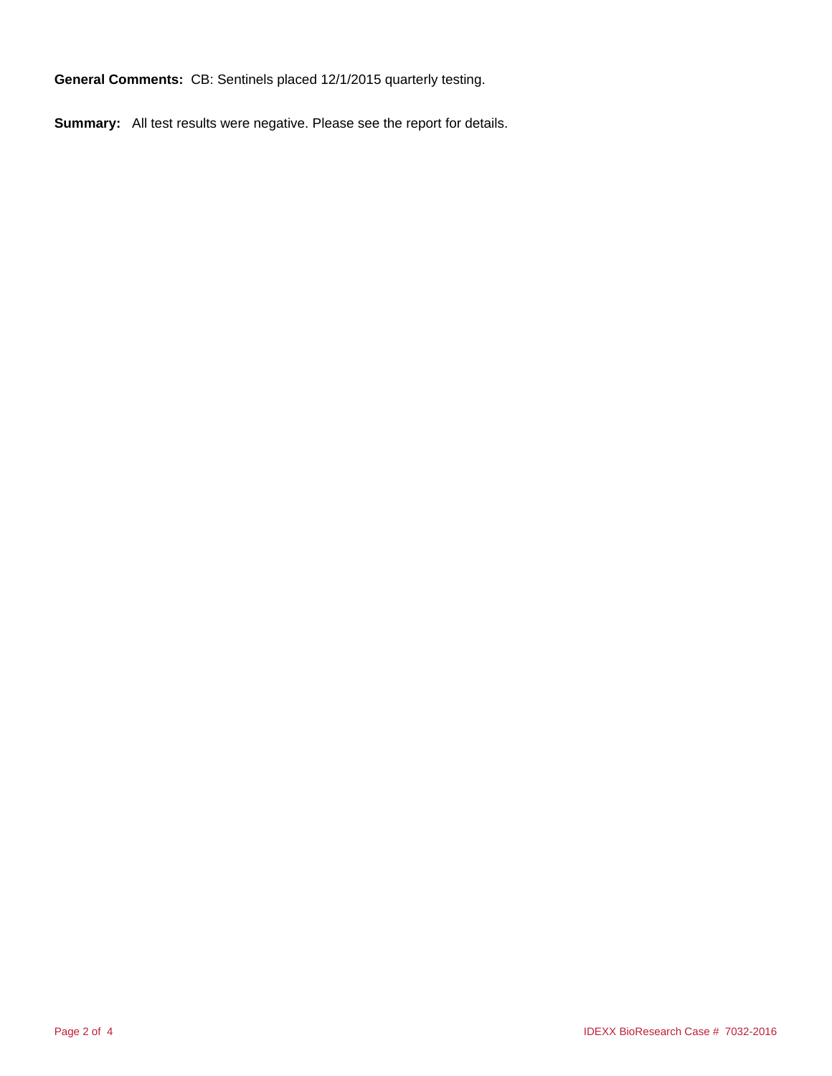**General Comments:** CB: Sentinels placed 12/1/2015 quarterly testing.

**Summary:** All test results were negative. Please see the report for details.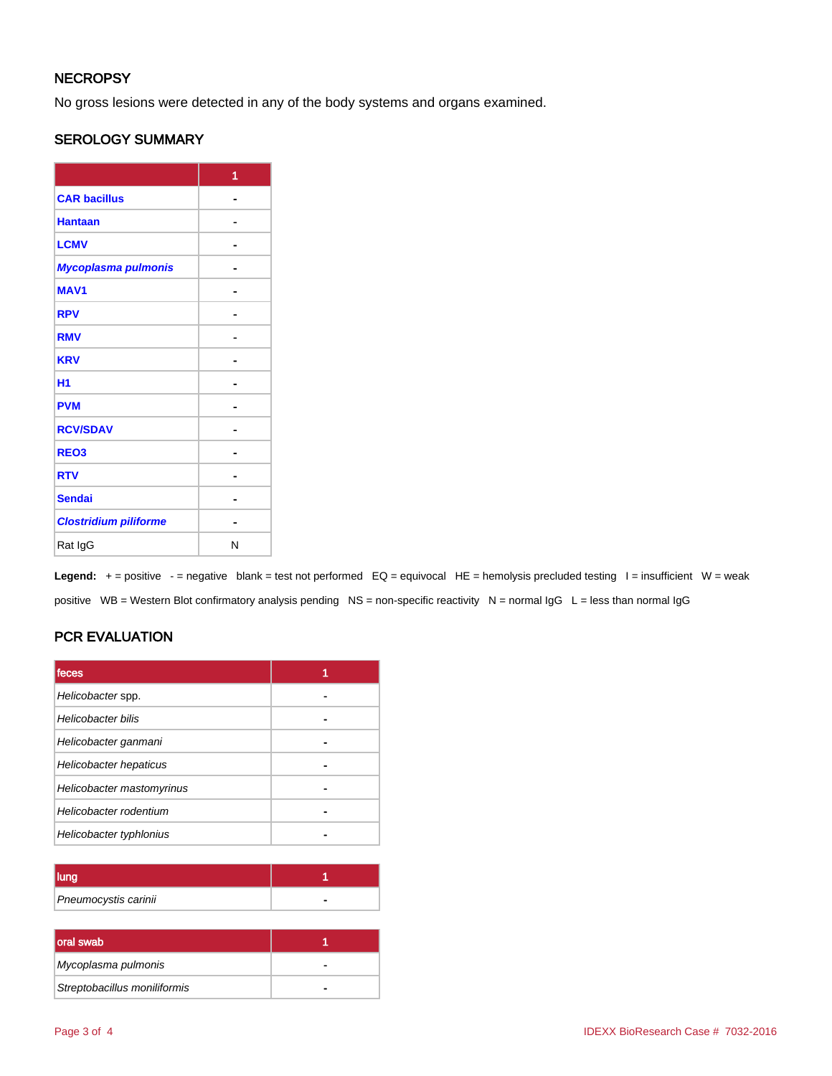### **NECROPSY**

No gross lesions were detected in any of the body systems and organs examined.

### SEROLOGY SUMMARY

|                              | 1 |
|------------------------------|---|
| <b>CAR bacillus</b>          |   |
| <b>Hantaan</b>               |   |
| <b>LCMV</b>                  |   |
| Mycoplasma pulmonis          |   |
| <b>MAV1</b>                  |   |
| <b>RPV</b>                   |   |
| <b>RMV</b>                   |   |
| <b>KRV</b>                   |   |
| H <sub>1</sub>               |   |
| <b>PVM</b>                   |   |
| <b>RCV/SDAV</b>              |   |
| REO <sub>3</sub>             |   |
| <b>RTV</b>                   |   |
| <b>Sendai</b>                |   |
| <b>Clostridium piliforme</b> |   |
| Rat IgG                      | N |

Legend: + = positive - = negative blank = test not performed EQ = equivocal HE = hemolysis precluded testing I = insufficient W = weak positive WB = Western Blot confirmatory analysis pending NS = non-specific reactivity N = normal IgG L = less than normal IgG

### PCR EVALUATION

| feces                     |  |
|---------------------------|--|
| Helicobacter spp.         |  |
| Helicobacter bilis        |  |
| Helicobacter ganmani      |  |
| Helicobacter hepaticus    |  |
| Helicobacter mastomyrinus |  |
| Helicobacter rodentium    |  |
| Helicobacter typhlonius   |  |

| lung                 |  |
|----------------------|--|
| Pneumocystis carinii |  |

| oral swab                    |   |
|------------------------------|---|
| Mycoplasma pulmonis          | - |
| Streptobacillus moniliformis |   |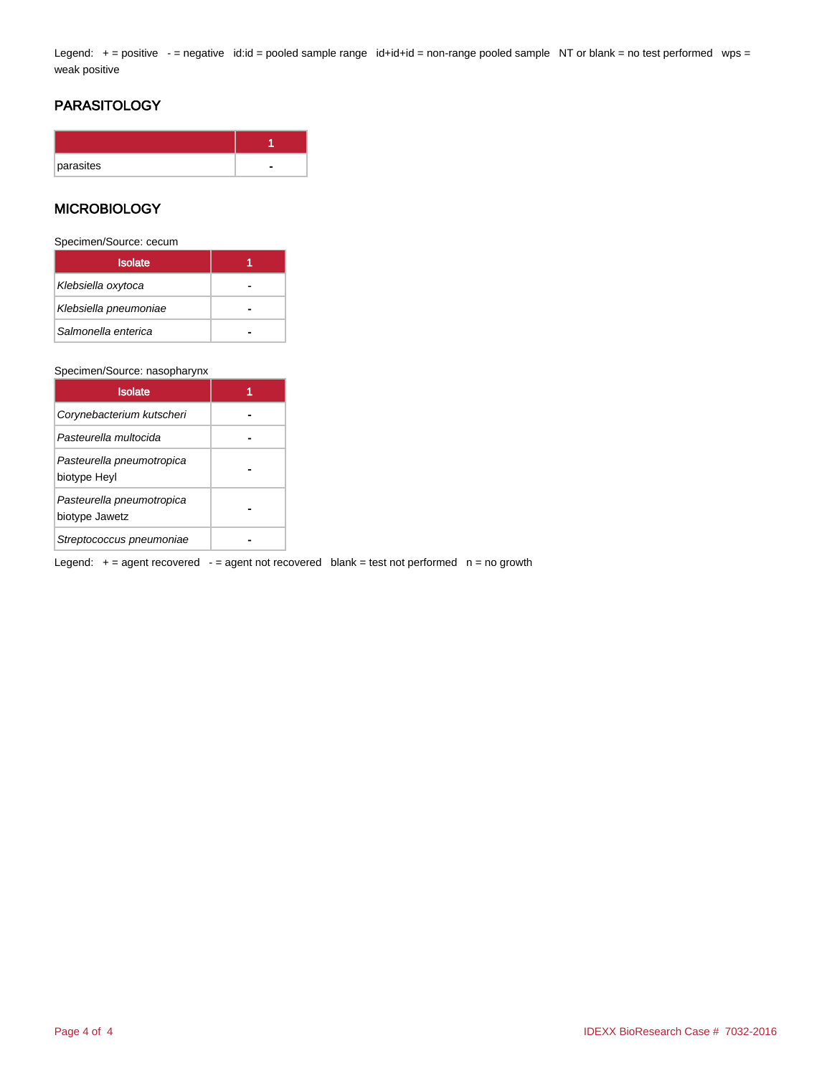Legend: + = positive - = negative id:id = pooled sample range id+id+id = non-range pooled sample NT or blank = no test performed wps = weak positive

### PARASITOLOGY

| parasites |  |
|-----------|--|

### **MICROBIOLOGY**

Specimen/Source: cecum

| <b>Isolate</b>        |  |
|-----------------------|--|
| Klebsiella oxytoca    |  |
| Klebsiella pneumoniae |  |
| Salmonella enterica   |  |

#### Specimen/Source: nasopharynx

| <b>Isolate</b>                              |  |
|---------------------------------------------|--|
| Corynebacterium kutscheri                   |  |
| Pasteurella multocida                       |  |
| Pasteurella pneumotropica<br>biotype Heyl   |  |
| Pasteurella pneumotropica<br>biotype Jawetz |  |
| Streptococcus pneumoniae                    |  |

Legend:  $+=$  agent recovered  $-$  = agent not recovered blank = test not performed  $n =$  no growth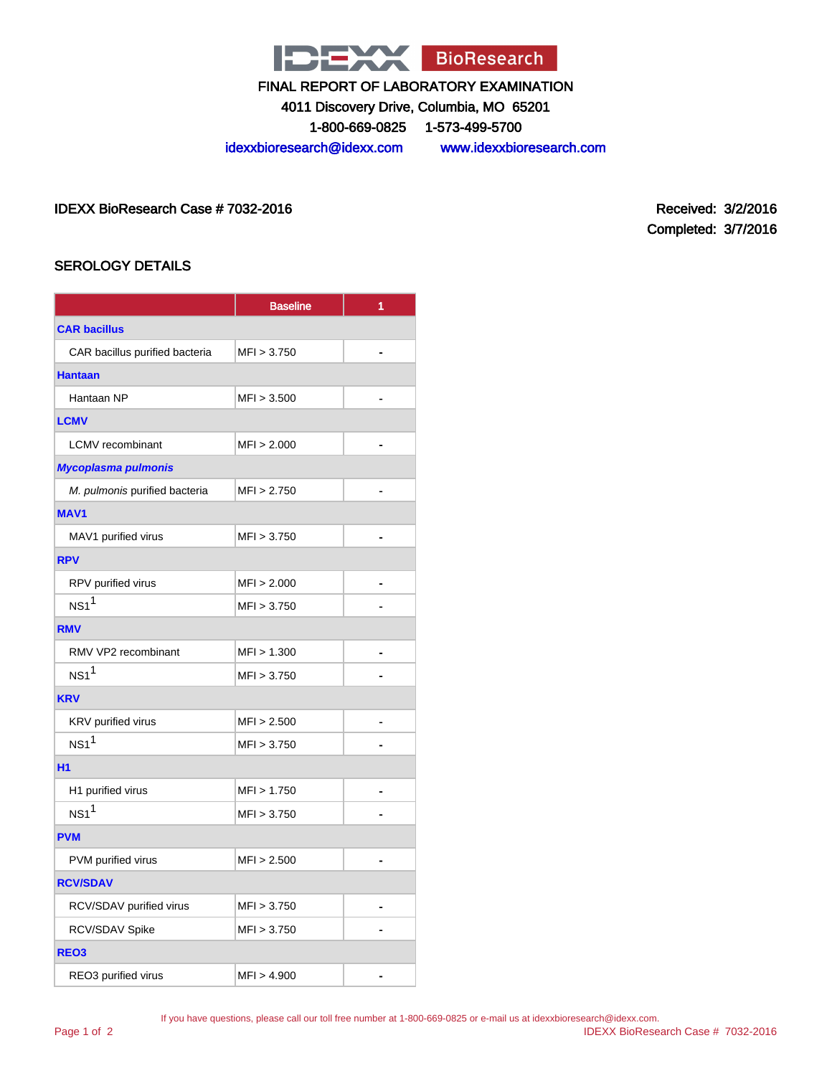

4011 Discovery Drive, Columbia, MO 65201

1-800-669-0825 1-573-499-5700

idexxbioresearch@idexx.com www.idexxbioresearch.com

IDEXX BioResearch Case # 7032-2016 Received: 3/2/2016

Completed: 3/7/2016

### SEROLOGY DETAILS

|                                | <b>Baseline</b> | 1 |
|--------------------------------|-----------------|---|
| <b>CAR bacillus</b>            |                 |   |
| CAR bacillus purified bacteria | MFI > 3.750     |   |
| <b>Hantaan</b>                 |                 |   |
| Hantaan NP                     | MFI > 3.500     |   |
| <b>LCMV</b>                    |                 |   |
| <b>LCMV</b> recombinant        | MFI > 2.000     |   |
| Mycoplasma pulmonis            |                 |   |
| M. pulmonis purified bacteria  | MFI > 2.750     |   |
| <b>MAV1</b>                    |                 |   |
| MAV1 purified virus            | MFI > 3.750     | ٠ |
| <b>RPV</b>                     |                 |   |
| RPV purified virus             | MFI > 2.000     |   |
| NS1 <sup>1</sup>               | MFI > 3.750     |   |
| <b>RMV</b>                     |                 |   |
| RMV VP2 recombinant            | MFI > 1.300     |   |
| NS1 <sup>1</sup>               | MFI > 3.750     |   |
| <b>KRV</b>                     |                 |   |
| KRV purified virus             | MFI > 2.500     |   |
| NS1 <sup>1</sup>               | MFI > 3.750     |   |
| <b>H1</b>                      |                 |   |
| H1 purified virus              | MFI > 1.750     |   |
| NS1 <sup>1</sup>               | MFI > 3.750     |   |
| <b>PVM</b>                     |                 |   |
| PVM purified virus             | MFI > 2.500     |   |
| <b>RCV/SDAV</b>                |                 |   |
| RCV/SDAV purified virus        | MFI > 3.750     |   |
| RCV/SDAV Spike                 | MFI > 3.750     |   |
| REO <sub>3</sub>               |                 |   |
| REO3 purified virus            | MFI > 4.900     |   |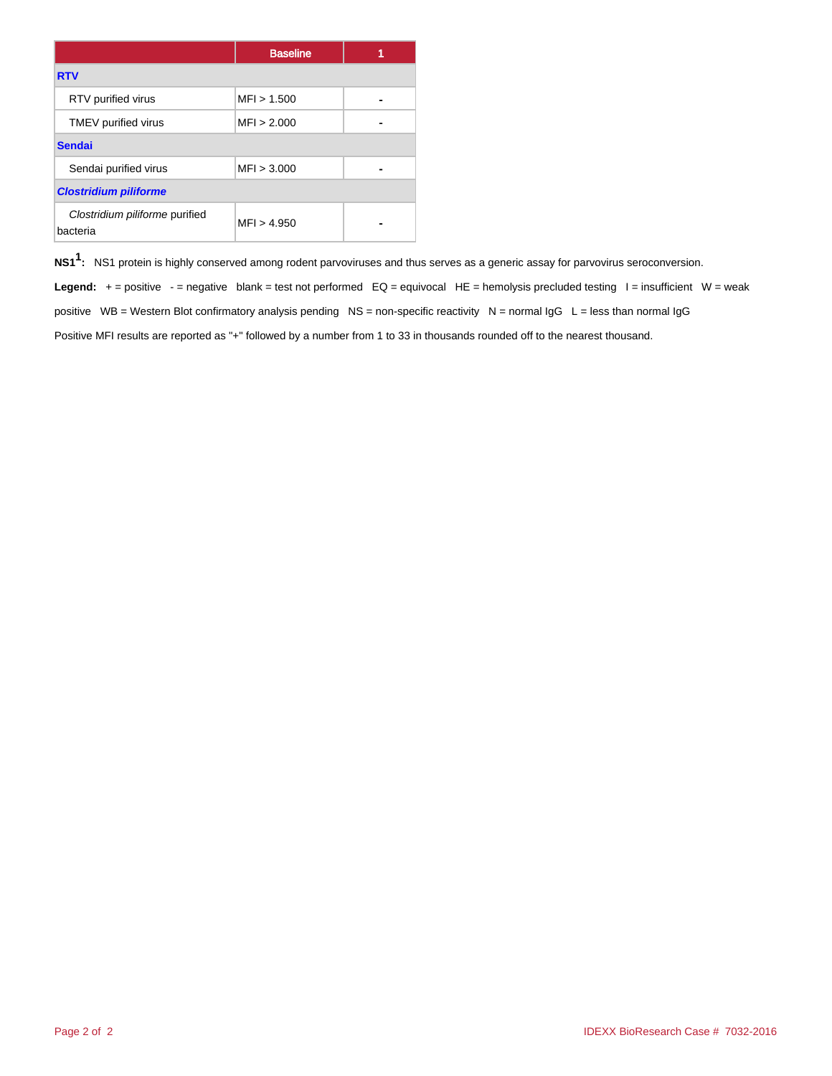|                                            | <b>Baseline</b> |  |
|--------------------------------------------|-----------------|--|
| <b>RTV</b>                                 |                 |  |
| RTV purified virus                         | MFI > 1.500     |  |
| TMEV purified virus                        | MFI > 2.000     |  |
| <b>Sendai</b>                              |                 |  |
| Sendai purified virus                      | MFI > 3.000     |  |
| <b>Clostridium piliforme</b>               |                 |  |
| Clostridium piliforme purified<br>bacteria | MFI > 4.950     |  |

**NS11 :** NS1 protein is highly conserved among rodent parvoviruses and thus serves as a generic assay for parvovirus seroconversion.

Legend: + = positive - = negative blank = test not performed EQ = equivocal HE = hemolysis precluded testing I = insufficient W = weak positive WB = Western Blot confirmatory analysis pending NS = non-specific reactivity N = normal  $\lg G$  L = less than normal  $\lg G$ Positive MFI results are reported as "+" followed by a number from 1 to 33 in thousands rounded off to the nearest thousand.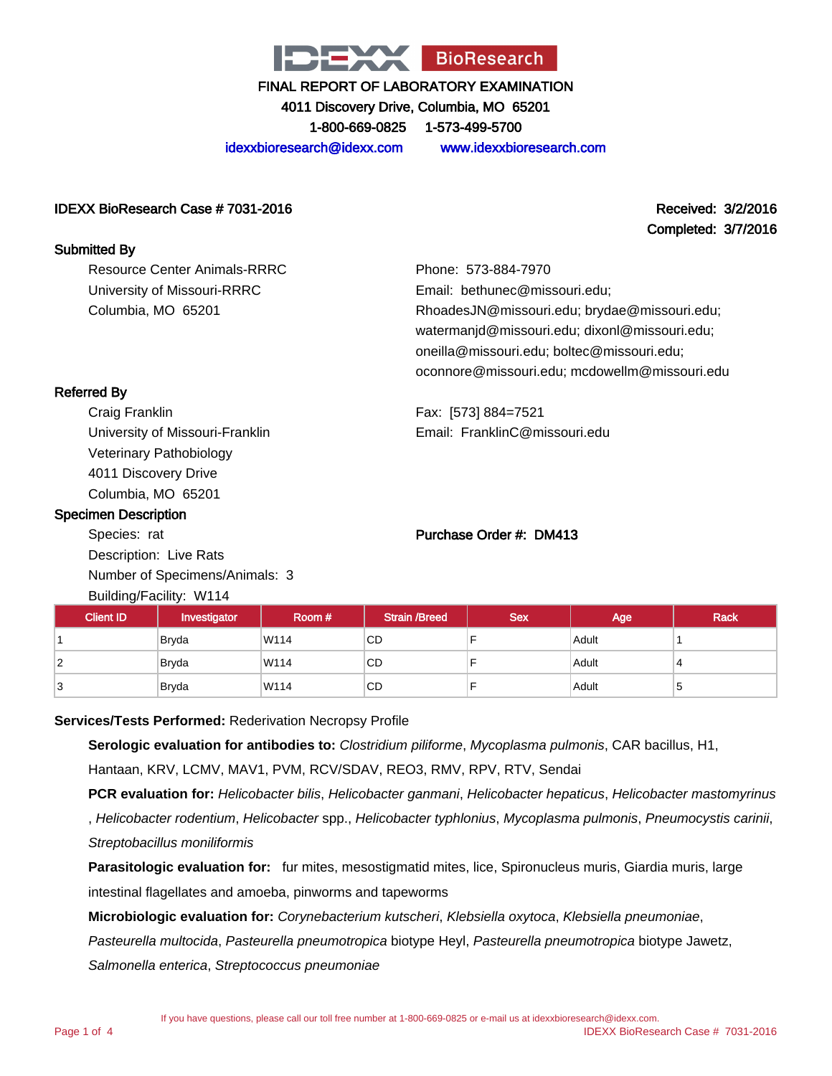

4011 Discovery Drive, Columbia, MO 65201 1-800-669-0825 1-573-499-5700

idexxbioresearch@idexx.com www.idexxbioresearch.com

### IDEXX BioResearch Case # 7031-2016 Received: 3/2/2016

Completed: 3/7/2016

#### Submitted By

Resource Center Animals-RRRC University of Missouri-RRRC Columbia, MO 65201

Phone: 573-884-7970 Email: bethunec@missouri.edu; RhoadesJN@missouri.edu; brydae@missouri.edu; watermanjd@missouri.edu; dixonl@missouri.edu; oneilla@missouri.edu; boltec@missouri.edu; oconnore@missouri.edu; mcdowellm@missouri.edu

Fax: [573] 884=7521 Email: FranklinC@missouri.edu

### Referred By

Craig Franklin University of Missouri-Franklin Veterinary Pathobiology 4011 Discovery Drive Columbia, MO 65201

### Specimen Description

Species: rat Description: Live Rats Number of Specimens/Animals: 3 Building/Facility: W114

### Purchase Order #: DM413

| $50.5$ $1.5$ $1.5$ $1.5$ $1.5$ $1.5$ |              |        |                      |            |       |             |
|--------------------------------------|--------------|--------|----------------------|------------|-------|-------------|
| <b>Client ID</b>                     | Investigator | Room # | <b>Strain /Breed</b> | <b>Sex</b> | Age   | <b>Rack</b> |
|                                      | <b>Bryda</b> | W114   | CD.                  |            | Adult |             |
| 2                                    | <b>Bryda</b> | W114   | CD.                  |            | Adult |             |
| 3                                    | Bryda        | W114   | CD                   |            | Adult | c           |

#### **Services/Tests Performed:** Rederivation Necropsy Profile

**Serologic evaluation for antibodies to:** Clostridium piliforme, Mycoplasma pulmonis, CAR bacillus, H1,

Hantaan, KRV, LCMV, MAV1, PVM, RCV/SDAV, REO3, RMV, RPV, RTV, Sendai

**PCR evaluation for:** Helicobacter bilis, Helicobacter ganmani, Helicobacter hepaticus, Helicobacter mastomyrinus , Helicobacter rodentium, Helicobacter spp., Helicobacter typhlonius, Mycoplasma pulmonis, Pneumocystis carinii, Streptobacillus moniliformis

**Parasitologic evaluation for:** fur mites, mesostigmatid mites, lice, Spironucleus muris, Giardia muris, large intestinal flagellates and amoeba, pinworms and tapeworms

**Microbiologic evaluation for:** Corynebacterium kutscheri, Klebsiella oxytoca, Klebsiella pneumoniae,

Pasteurella multocida, Pasteurella pneumotropica biotype Heyl, Pasteurella pneumotropica biotype Jawetz,

Salmonella enterica, Streptococcus pneumoniae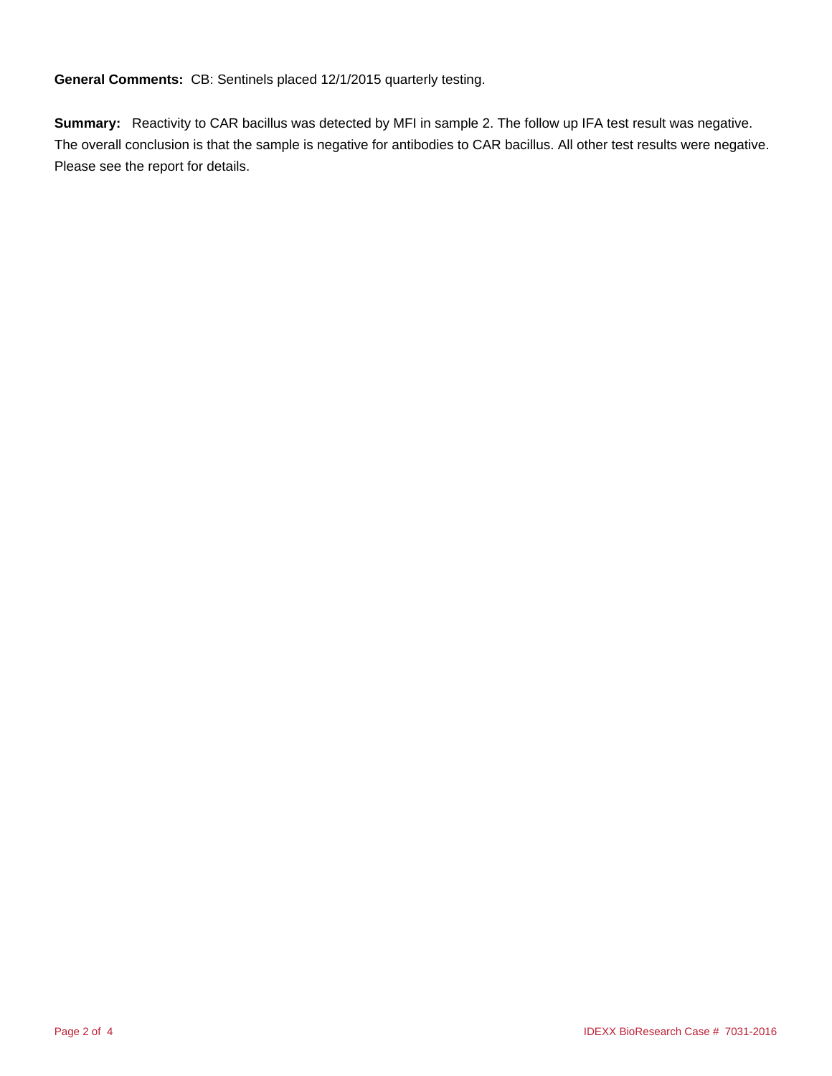**General Comments:** CB: Sentinels placed 12/1/2015 quarterly testing.

**Summary:** Reactivity to CAR bacillus was detected by MFI in sample 2. The follow up IFA test result was negative. The overall conclusion is that the sample is negative for antibodies to CAR bacillus. All other test results were negative. Please see the report for details.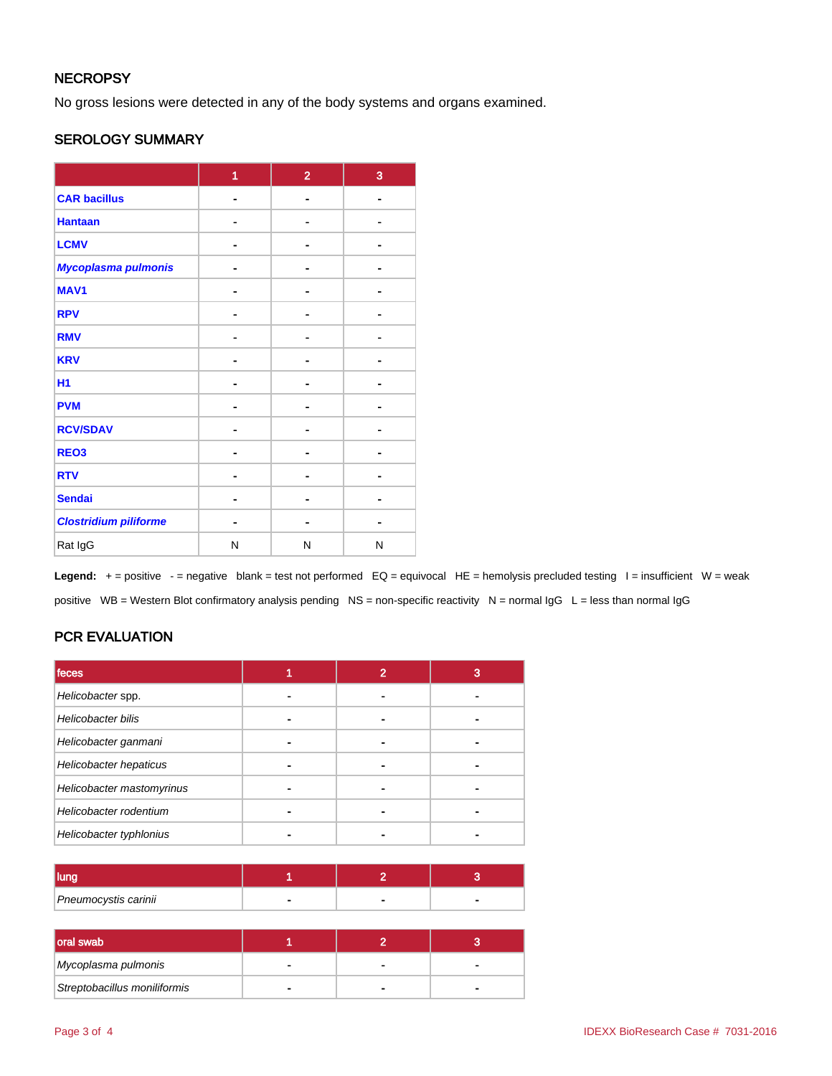### **NECROPSY**

No gross lesions were detected in any of the body systems and organs examined.

### SEROLOGY SUMMARY

|                              | 1 | $\overline{2}$ | 3 |
|------------------------------|---|----------------|---|
| <b>CAR bacillus</b>          | - | $\blacksquare$ |   |
| <b>Hantaan</b>               |   | $\blacksquare$ |   |
| <b>LCMV</b>                  |   | ۰              |   |
| Mycoplasma pulmonis          |   | $\blacksquare$ |   |
| MAV <sub>1</sub>             |   | ۰              |   |
| <b>RPV</b>                   |   |                |   |
| <b>RMV</b>                   |   | Н              |   |
| <b>KRV</b>                   |   |                |   |
| <b>H1</b>                    |   | $\blacksquare$ |   |
| <b>PVM</b>                   | - | $\blacksquare$ |   |
| <b>RCV/SDAV</b>              |   |                |   |
| REO <sub>3</sub>             |   | -              |   |
| <b>RTV</b>                   |   | $\blacksquare$ |   |
| <b>Sendai</b>                |   | $\blacksquare$ |   |
| <b>Clostridium piliforme</b> |   | ۰              |   |
| Rat IgG                      | N | N              | N |

Legend: + = positive - = negative blank = test not performed EQ = equivocal HE = hemolysis precluded testing I = insufficient W = weak positive WB = Western Blot confirmatory analysis pending NS = non-specific reactivity N = normal IgG L = less than normal IgG

### PCR EVALUATION

| <b>feces</b>              | 2 | 3 |
|---------------------------|---|---|
| Helicobacter spp.         |   |   |
| Helicobacter bilis        |   |   |
| Helicobacter ganmani      |   |   |
| Helicobacter hepaticus    | ۰ |   |
| Helicobacter mastomyrinus |   |   |
| Helicobacter rodentium    |   |   |
| Helicobacter typhlonius   |   |   |

| Pneumocystis carinii |  |  |
|----------------------|--|--|

| oral swab                    |  |  |
|------------------------------|--|--|
| Mycoplasma pulmonis          |  |  |
| Streptobacillus moniliformis |  |  |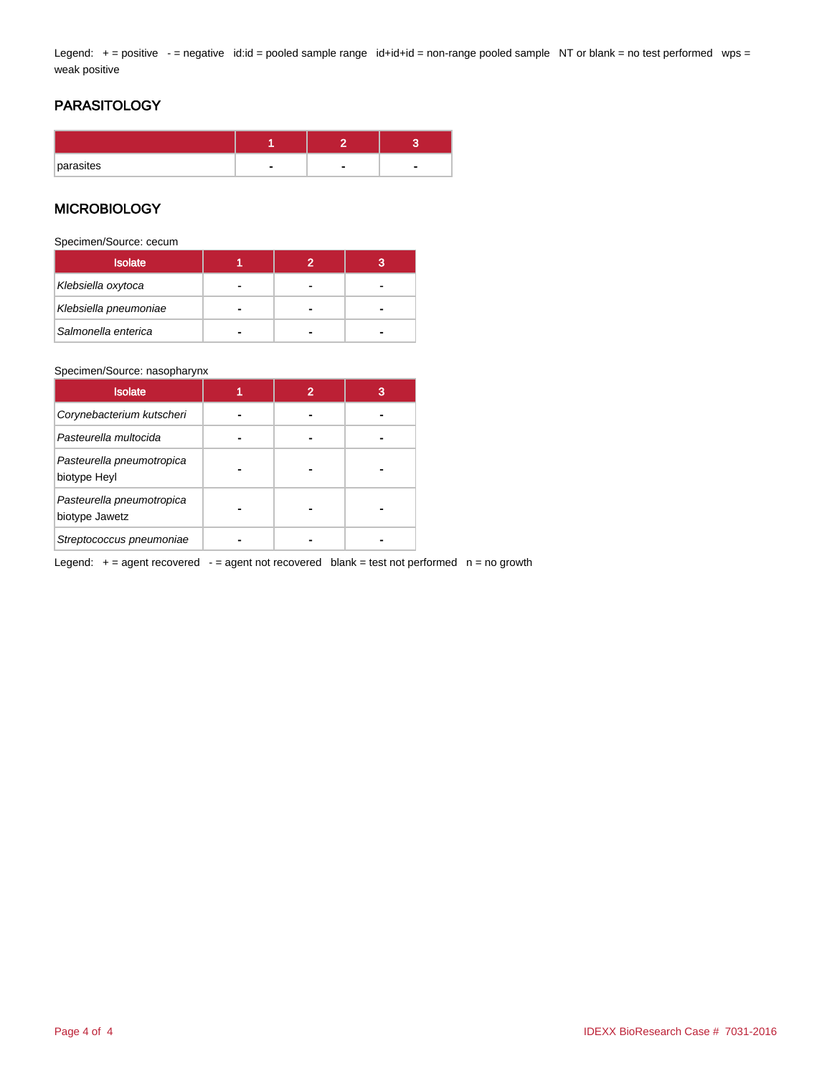Legend: + = positive - = negative id:id = pooled sample range id+id+id = non-range pooled sample NT or blank = no test performed wps = weak positive

### PARASITOLOGY

| parasites |  |  |
|-----------|--|--|

### **MICROBIOLOGY**

Specimen/Source: cecum

| <b>Isolate</b>        |   |  |
|-----------------------|---|--|
| Klebsiella oxytoca    | - |  |
| Klebsiella pneumoniae | - |  |
| Salmonella enterica   |   |  |

#### Specimen/Source: nasopharynx

| <b>Isolate</b>                              |  | 3 |
|---------------------------------------------|--|---|
| Corynebacterium kutscheri                   |  |   |
| Pasteurella multocida                       |  |   |
| Pasteurella pneumotropica<br>biotype Heyl   |  |   |
| Pasteurella pneumotropica<br>biotype Jawetz |  |   |
| Streptococcus pneumoniae                    |  |   |

Legend:  $+=$  agent recovered  $-$  = agent not recovered blank = test not performed  $n =$  no growth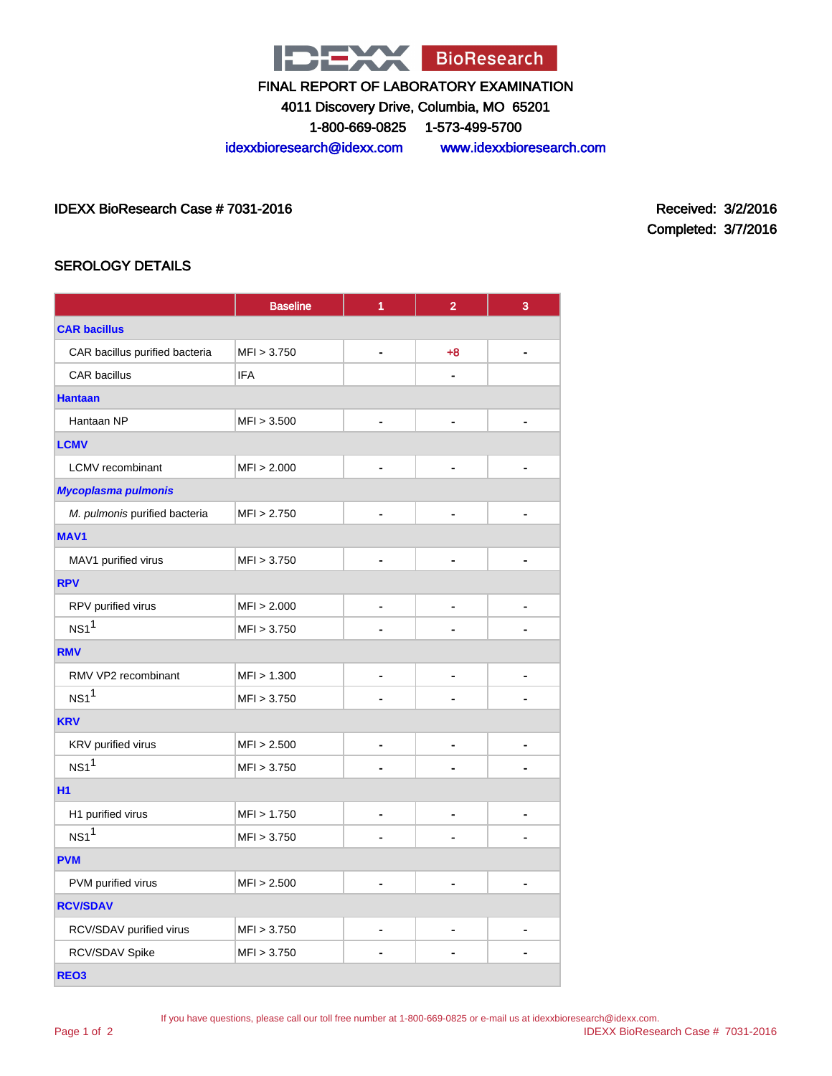

4011 Discovery Drive, Columbia, MO 65201

1-800-669-0825 1-573-499-5700

idexxbioresearch@idexx.com www.idexxbioresearch.com

IDEXX BioResearch Case # 7031-2016 Received: 3/2/2016

Completed: 3/7/2016

### SEROLOGY DETAILS

|                                | <b>Baseline</b> | 1              | $\overline{2}$ | 3              |
|--------------------------------|-----------------|----------------|----------------|----------------|
| <b>CAR bacillus</b>            |                 |                |                |                |
| CAR bacillus purified bacteria | MFI > 3.750     |                | $+8$           |                |
| <b>CAR</b> bacillus            | <b>IFA</b>      |                |                |                |
| <b>Hantaan</b>                 |                 |                |                |                |
| Hantaan NP                     | MFI > 3.500     |                |                |                |
| <b>LCMV</b>                    |                 |                |                |                |
| <b>LCMV</b> recombinant        | MFI > 2.000     |                |                |                |
| <b>Mycoplasma pulmonis</b>     |                 |                |                |                |
| M. pulmonis purified bacteria  | MFI > 2.750     |                |                |                |
| <b>MAV1</b>                    |                 |                |                |                |
| MAV1 purified virus            | MFI > 3.750     |                |                |                |
| <b>RPV</b>                     |                 |                |                |                |
| RPV purified virus             | MFI > 2.000     |                |                |                |
| NS1 <sup>1</sup>               | MFI > 3.750     |                |                |                |
| <b>RMV</b>                     |                 |                |                |                |
| RMV VP2 recombinant            | MFI > 1.300     |                | ۰              |                |
| NS1 <sup>1</sup>               | MFI > 3.750     |                |                |                |
| <b>KRV</b>                     |                 |                |                |                |
| KRV purified virus             | MFI > 2.500     |                |                |                |
| NS1 <sup>1</sup>               | MFI > 3.750     |                |                |                |
| <b>H1</b>                      |                 |                |                |                |
| H1 purified virus              | MFI > 1.750     | $\blacksquare$ | $\blacksquare$ | $\blacksquare$ |
| $NS1$ <sup>1</sup>             | MFI > 3.750     |                |                |                |
| <b>PVM</b>                     |                 |                |                |                |
| PVM purified virus             | MFI > 2.500     |                |                |                |
| <b>RCV/SDAV</b>                |                 |                |                |                |
| RCV/SDAV purified virus        | MFI > 3.750     |                |                |                |
| RCV/SDAV Spike                 | MFI > 3.750     |                |                |                |
| REO <sub>3</sub>               |                 |                |                |                |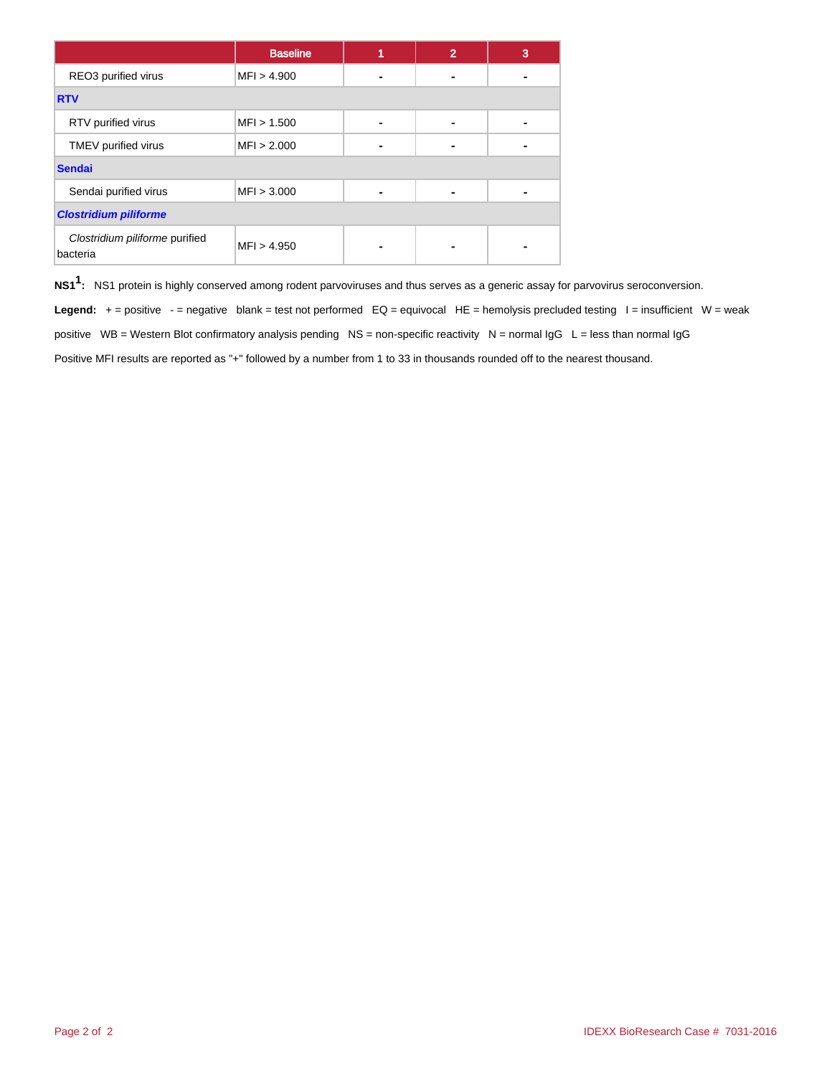|                                            | <b>Baseline</b> | 4 | $\overline{2}$ | 3 |
|--------------------------------------------|-----------------|---|----------------|---|
| REO3 purified virus                        | MFI > 4.900     |   |                |   |
| <b>RTV</b>                                 |                 |   |                |   |
| RTV purified virus                         | MFI > 1.500     |   |                |   |
| TMEV purified virus                        | MFI > 2.000     |   |                |   |
| <b>Sendai</b>                              |                 |   |                |   |
| Sendai purified virus                      | MFI > 3.000     |   |                |   |
| <b>Clostridium piliforme</b>               |                 |   |                |   |
| Clostridium piliforme purified<br>bacteria | MFI > 4.950     |   |                |   |

**NS11 :** NS1 protein is highly conserved among rodent parvoviruses and thus serves as a generic assay for parvovirus seroconversion.

Legend: + = positive - = negative blank = test not performed EQ = equivocal HE = hemolysis precluded testing I = insufficient W = weak positive WB = Western Blot confirmatory analysis pending NS = non-specific reactivity N = normal IgG L = less than normal IgG Positive MFI results are reported as "+" followed by a number from 1 to 33 in thousands rounded off to the nearest thousand.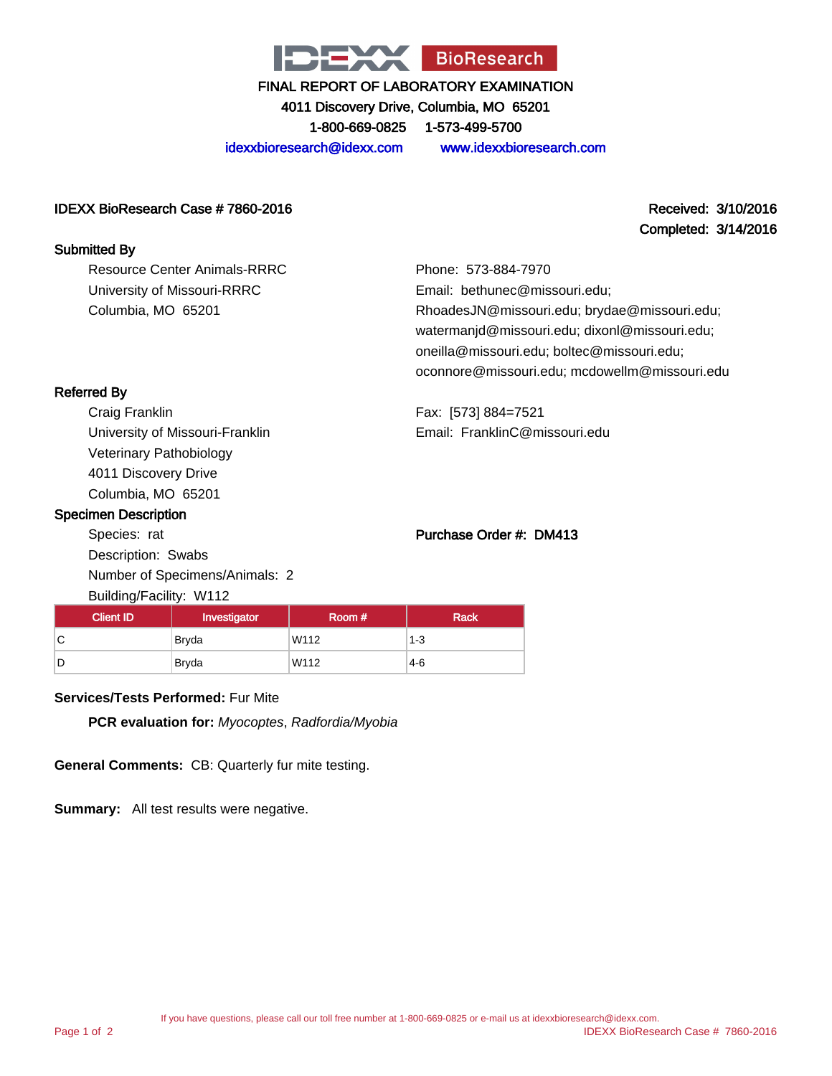

4011 Discovery Drive, Columbia, MO 65201

1-800-669-0825 1-573-499-5700

idexxbioresearch@idexx.com www.idexxbioresearch.com

#### IDEXX BioResearch Case # 7860-2016 Received: 3/10/2016

Completed: 3/14/2016

#### Submitted By

Resource Center Animals-RRRC University of Missouri-RRRC Columbia, MO 65201

Phone: 573-884-7970 Email: bethunec@missouri.edu; RhoadesJN@missouri.edu; brydae@missouri.edu; watermanjd@missouri.edu; dixonl@missouri.edu; oneilla@missouri.edu; boltec@missouri.edu; oconnore@missouri.edu; mcdowellm@missouri.edu

Referred By

Craig Franklin University of Missouri-Franklin Veterinary Pathobiology 4011 Discovery Drive Columbia, MO 65201

#### Specimen Description

Species: rat Description: Swabs Number of Specimens/Animals: 2 Building/Facility: W112

# Purchase Order #: DM413

Email: FranklinC@missouri.edu

Fax: [573] 884=7521

| ັ<br><b>Client ID</b> | Investigator | Room # | <b>Rack</b> |
|-----------------------|--------------|--------|-------------|
| ັ                     | Bryda        | W112   | $1 - 3$     |
|                       | <b>Bryda</b> | W112   | $4-6$       |

#### **Services/Tests Performed:** Fur Mite

**PCR evaluation for:** Myocoptes, Radfordia/Myobia

**General Comments:** CB: Quarterly fur mite testing.

**Summary:** All test results were negative.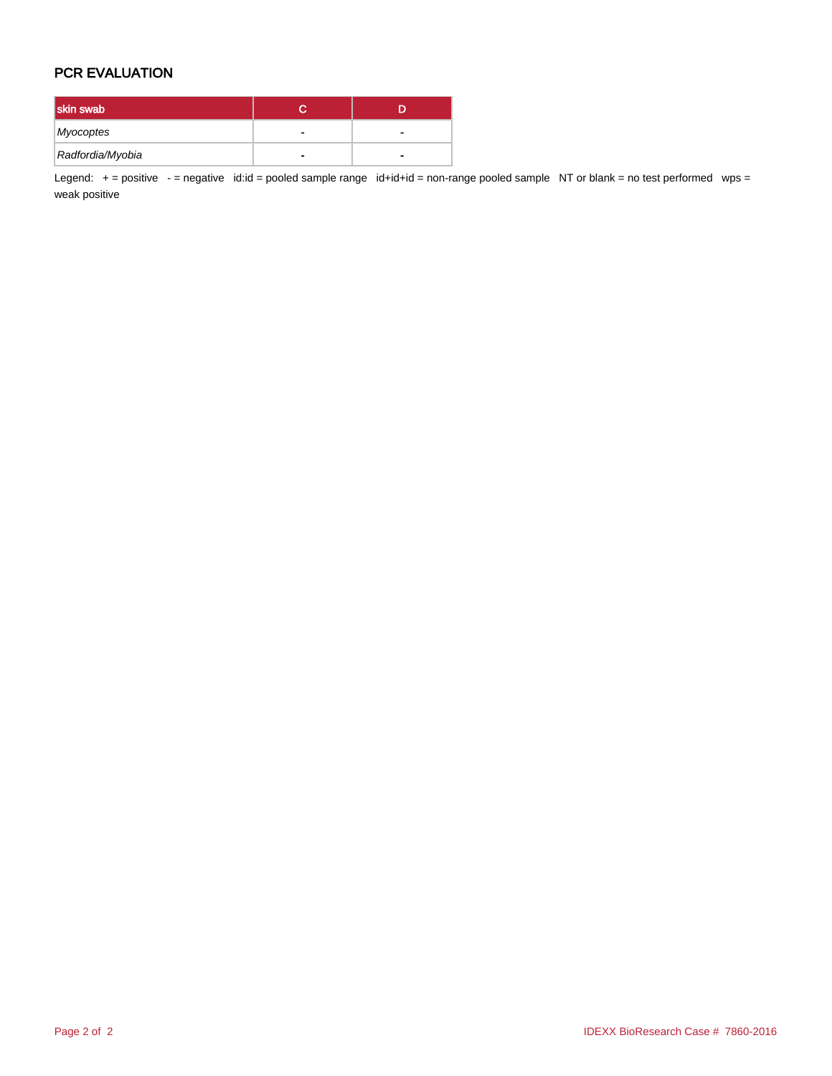### PCR EVALUATION

| skin swab        |   |
|------------------|---|
| Myocoptes        |   |
| Radfordia/Myobia | - |

Legend: + = positive - = negative id:id = pooled sample range id+id+id = non-range pooled sample NT or blank = no test performed wps = weak positive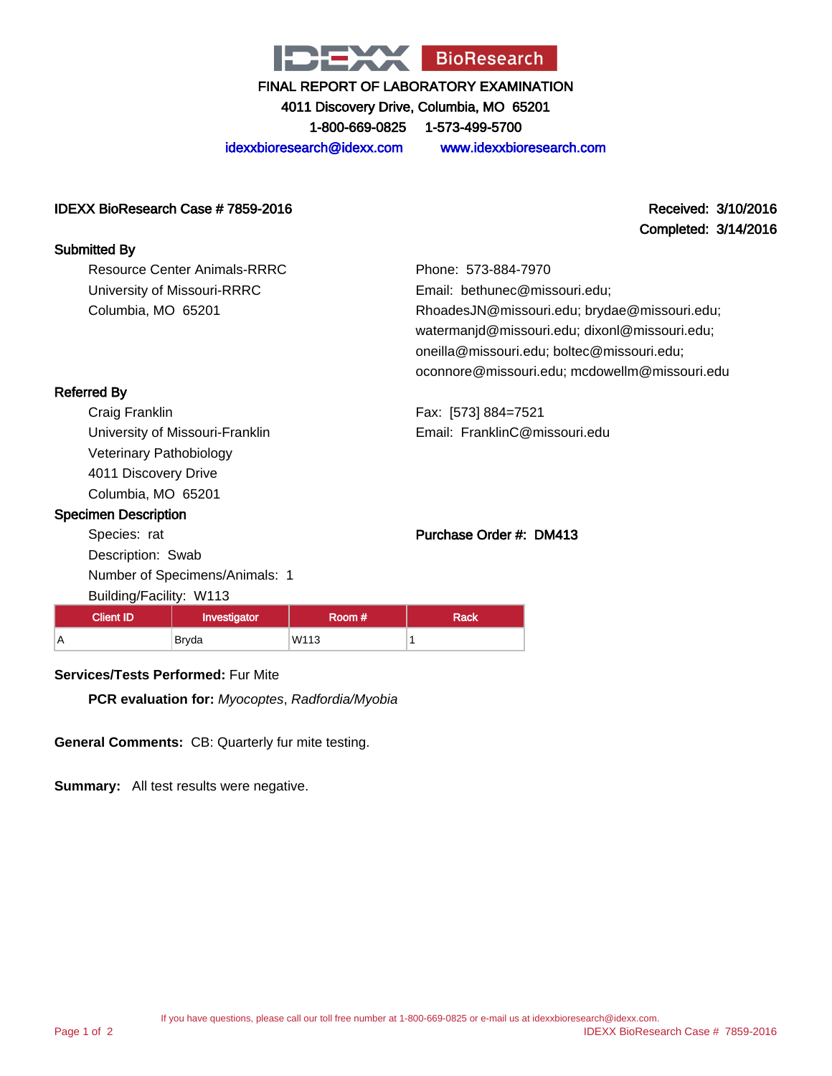

4011 Discovery Drive, Columbia, MO 65201

1-800-669-0825 1-573-499-5700

idexxbioresearch@idexx.com www.idexxbioresearch.com

### IDEXX BioResearch Case # 7859-2016 Received: 3/10/2016

Completed: 3/14/2016

| <b>Submitted By</b>          |                              |
|------------------------------|------------------------------|
| Resource Center Animals-RRRC | Phone: 573-884-              |
| University of Missouri-RRRC  | Email: bethunec              |
| Columbia, MO 65201           | RhoadesJN@mis                |
|                              | watermanid@mis               |
|                              | المستحدث والمشاركة والمتحددة |

7970 @missouri.edu; souri.edu; brydae@missouri.edu; souri.edu; dixonl@missouri.edu; oneilla@missouri.edu; boltec@missouri.edu; oconnore@missouri.edu; mcdowellm@missouri.edu

### Referred By

Craig Franklin University of Missouri-Franklin Veterinary Pathobiology 4011 Discovery Drive Columbia, MO 65201

#### Specimen Description

Species: rat Description: Swab Number of Specimens/Animals: 1 Building/Facility: W113

## Purchase Order #: DM413

Fax: [573] 884=7521

Email: FranklinC@missouri.edu

| <b>Client ID</b> | Investigator | Room # | <b>Rack</b> |
|------------------|--------------|--------|-------------|
|                  | Bryda        | W113   |             |

### **Services/Tests Performed:** Fur Mite

**PCR evaluation for:** Myocoptes, Radfordia/Myobia

**General Comments:** CB: Quarterly fur mite testing.

**Summary:** All test results were negative.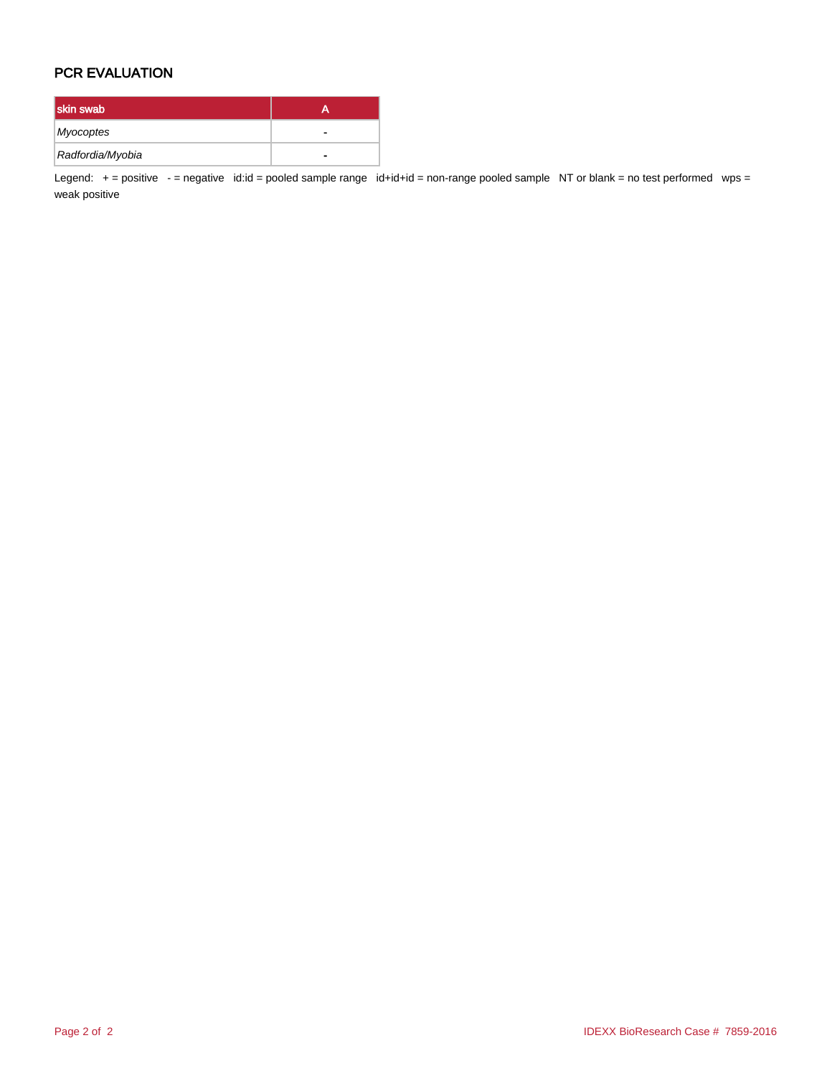### PCR EVALUATION

| skin swab        |   |
|------------------|---|
| Myocoptes        |   |
| Radfordia/Myobia | - |

Legend: + = positive - = negative id:id = pooled sample range id+id+id = non-range pooled sample NT or blank = no test performed wps = weak positive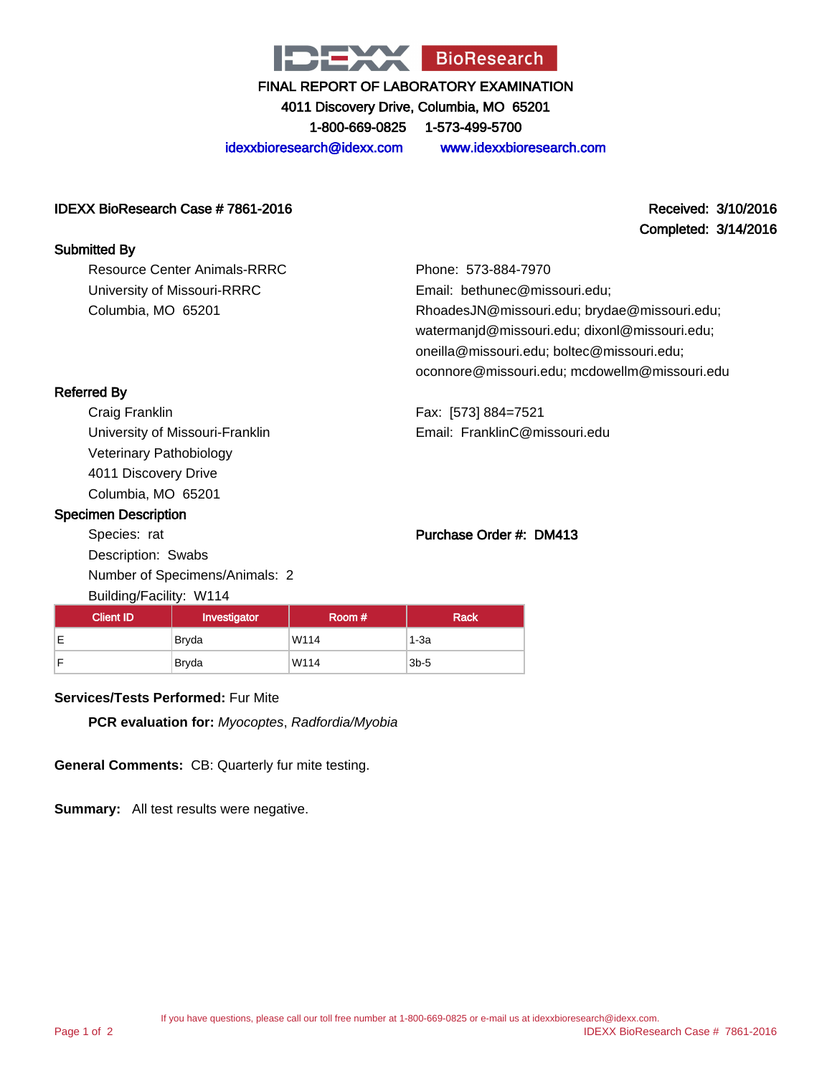

4011 Discovery Drive, Columbia, MO 65201

1-800-669-0825 1-573-499-5700

idexxbioresearch@idexx.com www.idexxbioresearch.com

### IDEXX BioResearch Case # 7861-2016 Received: 3/10/2016

Completed: 3/14/2016

### Submitted By

Resource Center Animals-RRRC University of Missouri-RRRC Columbia, MO 65201

Phone: 573-884-7970 Email: bethunec@missouri.edu; RhoadesJN@missouri.edu; brydae@missouri.edu; watermanjd@missouri.edu; dixonl@missouri.edu; oneilla@missouri.edu; boltec@missouri.edu; oconnore@missouri.edu; mcdowellm@missouri.edu

Referred By

Craig Franklin University of Missouri-Franklin Veterinary Pathobiology 4011 Discovery Drive Columbia, MO 65201

### Specimen Description

Species: rat Description: Swabs Number of Specimens/Animals: 2 Building/Facility: W114

# Purchase Order #: DM413

Email: FranklinC@missouri.edu

Fax: [573] 884=7521

| <b>Client ID</b> | Investigator | Room# | <b>Rack</b> |
|------------------|--------------|-------|-------------|
| Е                | <b>Bryda</b> | W114  | 1-3a        |
| E                | <b>Bryda</b> | W114  | $3b-5$      |

#### **Services/Tests Performed:** Fur Mite

**PCR evaluation for:** Myocoptes, Radfordia/Myobia

**General Comments:** CB: Quarterly fur mite testing.

**Summary:** All test results were negative.